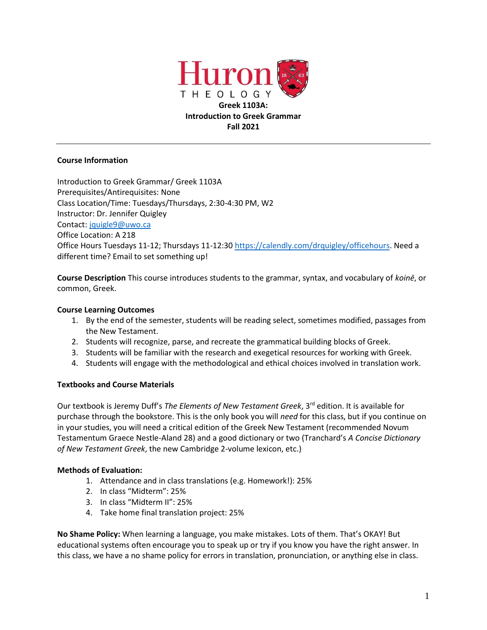

# **Course Information**

Introduction to Greek Grammar/ Greek 1103A Prerequisites/Antirequisites: None Class Location/Time: Tuesdays/Thursdays, 2:30-4:30 PM, W2 Instructor: Dr. Jennifer Quigley Contact: [jquigle9@uwo.ca](mailto:jquigle9@uwo.ca) Office Location: A 218 Office Hours Tuesdays 11-12; Thursdays 11-12:30 [https://calendly.com/drquigley/officehours.](https://calendly.com/drquigley/officehours) Need a different time? Email to set something up!

**Course Description** This course introduces students to the grammar, syntax, and vocabulary of *koinē*, or common, Greek.

# **Course Learning Outcomes**

- 1. By the end of the semester, students will be reading select, sometimes modified, passages from the New Testament.
- 2. Students will recognize, parse, and recreate the grammatical building blocks of Greek.
- 3. Students will be familiar with the research and exegetical resources for working with Greek.
- 4. Students will engage with the methodological and ethical choices involved in translation work.

# **Textbooks and Course Materials**

Our textbook is Jeremy Duff's *The Elements of New Testament Greek*, 3rd edition. It is available for purchase through the bookstore. This is the only book you will *need* for this class, but if you continue on in your studies, you will need a critical edition of the Greek New Testament (recommended Novum Testamentum Graece Nestle-Aland 28) and a good dictionary or two (Tranchard's *A Concise Dictionary of New Testament Greek*, the new Cambridge 2-volume lexicon, etc.)

# **Methods of Evaluation:**

- 1. Attendance and in class translations (e.g. Homework!): 25%
- 2. In class "Midterm": 25%
- 3. In class "Midterm II": 25%
- 4. Take home final translation project: 25%

**No Shame Policy:** When learning a language, you make mistakes. Lots of them. That's OKAY! But educational systems often encourage you to speak up or try if you know you have the right answer. In this class, we have a no shame policy for errors in translation, pronunciation, or anything else in class.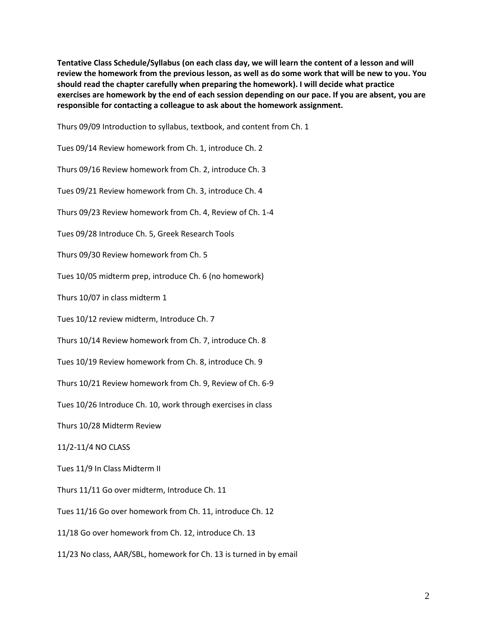**Tentative Class Schedule/Syllabus (on each class day, we will learn the content of a lesson and will review the homework from the previous lesson, as well as do some work that will be new to you. You should read the chapter carefully when preparing the homework). I will decide what practice exercises are homework by the end of each session depending on our pace. If you are absent, you are responsible for contacting a colleague to ask about the homework assignment.**

Thurs 09/09 Introduction to syllabus, textbook, and content from Ch. 1

Tues 09/14 Review homework from Ch. 1, introduce Ch. 2

Thurs 09/16 Review homework from Ch. 2, introduce Ch. 3

Tues 09/21 Review homework from Ch. 3, introduce Ch. 4

Thurs 09/23 Review homework from Ch. 4, Review of Ch. 1-4

Tues 09/28 Introduce Ch. 5, Greek Research Tools

Thurs 09/30 Review homework from Ch. 5

Tues 10/05 midterm prep, introduce Ch. 6 (no homework)

Thurs 10/07 in class midterm 1

Tues 10/12 review midterm, Introduce Ch. 7

Thurs 10/14 Review homework from Ch. 7, introduce Ch. 8

Tues 10/19 Review homework from Ch. 8, introduce Ch. 9

Thurs 10/21 Review homework from Ch. 9, Review of Ch. 6-9

Tues 10/26 Introduce Ch. 10, work through exercises in class

Thurs 10/28 Midterm Review

11/2-11/4 NO CLASS

Tues 11/9 In Class Midterm II

Thurs 11/11 Go over midterm, Introduce Ch. 11

Tues 11/16 Go over homework from Ch. 11, introduce Ch. 12

11/18 Go over homework from Ch. 12, introduce Ch. 13

11/23 No class, AAR/SBL, homework for Ch. 13 is turned in by email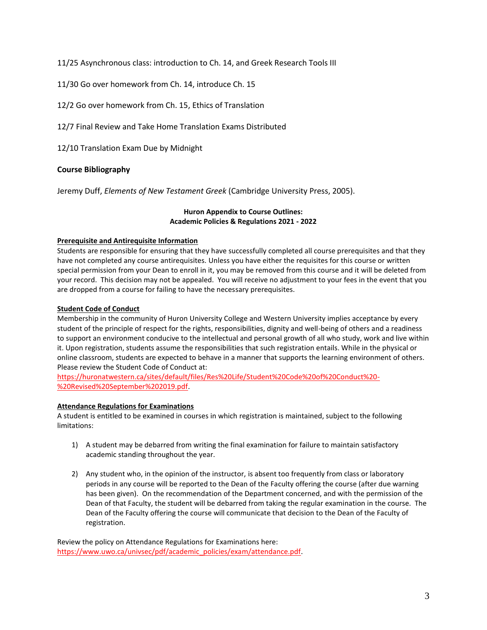11/25 Asynchronous class: introduction to Ch. 14, and Greek Research Tools III

11/30 Go over homework from Ch. 14, introduce Ch. 15

12/2 Go over homework from Ch. 15, Ethics of Translation

12/7 Final Review and Take Home Translation Exams Distributed

12/10 Translation Exam Due by Midnight

# **Course Bibliography**

Jeremy Duff, *Elements of New Testament Greek* (Cambridge University Press, 2005).

## **Huron Appendix to Course Outlines: Academic Policies & Regulations 2021 - 2022**

## **Prerequisite and Antirequisite Information**

Students are responsible for ensuring that they have successfully completed all course prerequisites and that they have not completed any course antirequisites. Unless you have either the requisites for this course or written special permission from your Dean to enroll in it, you may be removed from this course and it will be deleted from your record. This decision may not be appealed. You will receive no adjustment to your fees in the event that you are dropped from a course for failing to have the necessary prerequisites.

## **Student Code of Conduct**

Membership in the community of Huron University College and Western University implies acceptance by every student of the principle of respect for the rights, responsibilities, dignity and well-being of others and a readiness to support an environment conducive to the intellectual and personal growth of all who study, work and live within it. Upon registration, students assume the responsibilities that such registration entails. While in the physical or online classroom, students are expected to behave in a manner that supports the learning environment of others. Please review the Student Code of Conduct at:

[https://huronatwestern.ca/sites/default/files/Res%20Life/Student%20Code%20of%20Conduct%20-](https://huronatwestern.ca/sites/default/files/Res%20Life/Student%20Code%20of%20Conduct%20-%20Revised%20September%202019.pdf) [%20Revised%20September%202019.pdf.](https://huronatwestern.ca/sites/default/files/Res%20Life/Student%20Code%20of%20Conduct%20-%20Revised%20September%202019.pdf)

# **Attendance Regulations for Examinations**

A student is entitled to be examined in courses in which registration is maintained, subject to the following limitations:

- 1) A student may be debarred from writing the final examination for failure to maintain satisfactory academic standing throughout the year.
- 2) Any student who, in the opinion of the instructor, is absent too frequently from class or laboratory periods in any course will be reported to the Dean of the Faculty offering the course (after due warning has been given). On the recommendation of the Department concerned, and with the permission of the Dean of that Faculty, the student will be debarred from taking the regular examination in the course. The Dean of the Faculty offering the course will communicate that decision to the Dean of the Faculty of registration.

Review the policy on Attendance Regulations for Examinations here: [https://www.uwo.ca/univsec/pdf/academic\\_policies/exam/attendance.pdf.](https://www.uwo.ca/univsec/pdf/academic_policies/exam/attendance.pdf)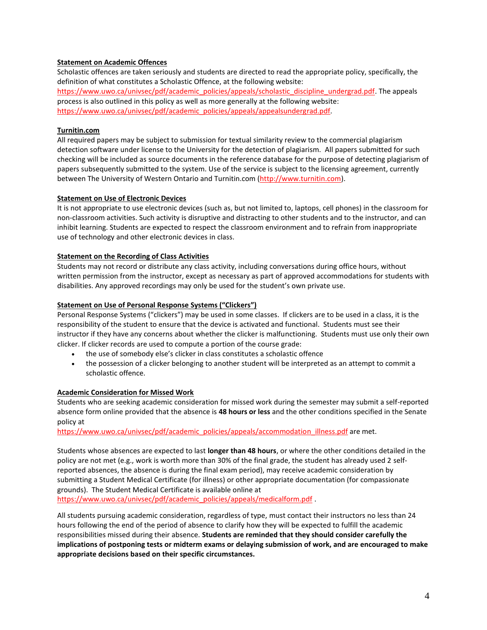### **Statement on Academic Offences**

Scholastic offences are taken seriously and students are directed to read the appropriate policy, specifically, the definition of what constitutes a Scholastic Offence, at the following website: [https://www.uwo.ca/univsec/pdf/academic\\_policies/appeals/scholastic\\_discipline\\_undergrad.pdf.](https://www.uwo.ca/univsec/pdf/academic_policies/appeals/scholastic_discipline_undergrad.pdf) The appeals process is also outlined in this policy as well as more generally at the following website: [https://www.uwo.ca/univsec/pdf/academic\\_policies/appeals/appealsundergrad.pdf.](https://www.uwo.ca/univsec/pdf/academic_policies/appeals/appealsundergrad.pdf)

### **Turnitin.com**

All required papers may be subject to submission for textual similarity review to the commercial plagiarism detection software under license to the University for the detection of plagiarism. All papers submitted for such checking will be included as source documents in the reference database for the purpose of detecting plagiarism of papers subsequently submitted to the system. Use of the service is subject to the licensing agreement, currently between The University of Western Ontario and Turnitin.com [\(http://www.turnitin.com\)](http://www.turnitin.com/).

#### **Statement on Use of Electronic Devices**

It is not appropriate to use electronic devices (such as, but not limited to, laptops, cell phones) in the classroom for non-classroom activities. Such activity is disruptive and distracting to other students and to the instructor, and can inhibit learning. Students are expected to respect the classroom environment and to refrain from inappropriate use of technology and other electronic devices in class.

#### **Statement on the Recording of Class Activities**

Students may not record or distribute any class activity, including conversations during office hours, without written permission from the instructor, except as necessary as part of approved accommodations for students with disabilities. Any approved recordings may only be used for the student's own private use.

#### **Statement on Use of Personal Response Systems ("Clickers")**

Personal Response Systems ("clickers") may be used in some classes. If clickers are to be used in a class, it is the responsibility of the student to ensure that the device is activated and functional. Students must see their instructor if they have any concerns about whether the clicker is malfunctioning. Students must use only their own clicker. If clicker records are used to compute a portion of the course grade:

- the use of somebody else's clicker in class constitutes a scholastic offence
- the possession of a clicker belonging to another student will be interpreted as an attempt to commit a scholastic offence.

#### **Academic Consideration for Missed Work**

Students who are seeking academic consideration for missed work during the semester may submit a self-reported absence form online provided that the absence is **48 hours or less** and the other conditions specified in the Senate policy at

[https://www.uwo.ca/univsec/pdf/academic\\_policies/appeals/accommodation\\_illness.pdf](https://www.uwo.ca/univsec/pdf/academic_policies/appeals/accommodation_illness.pdf) are met.

Students whose absences are expected to last **longer than 48 hours**, or where the other conditions detailed in the policy are not met (e.g., work is worth more than 30% of the final grade, the student has already used 2 selfreported absences, the absence is during the final exam period), may receive academic consideration by submitting a Student Medical Certificate (for illness) or other appropriate documentation (for compassionate grounds). The Student Medical Certificate is available online at

[https://www.uwo.ca/univsec/pdf/academic\\_policies/appeals/medicalform.pdf](https://www.uwo.ca/univsec/pdf/academic_policies/appeals/medicalform.pdf) .

All students pursuing academic consideration, regardless of type, must contact their instructors no less than 24 hours following the end of the period of absence to clarify how they will be expected to fulfill the academic responsibilities missed during their absence. **Students are reminded that they should consider carefully the implications of postponing tests or midterm exams or delaying submission of work, and are encouraged to make appropriate decisions based on their specific circumstances.**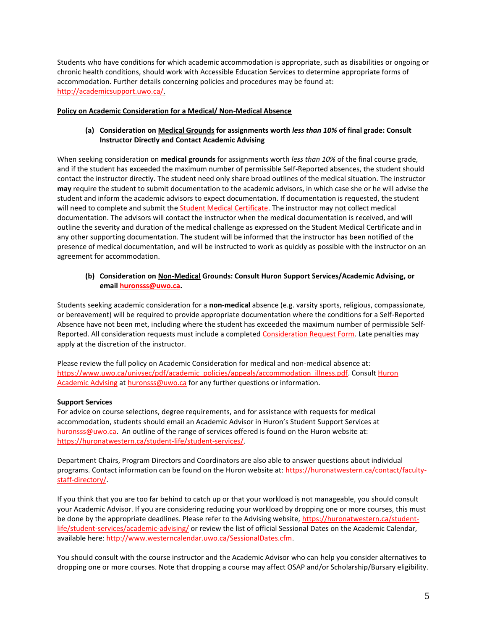Students who have conditions for which academic accommodation is appropriate, such as disabilities or ongoing or chronic health conditions, should work with Accessible Education Services to determine appropriate forms of accommodation. Further details concerning policies and procedures may be found at: [http://academicsupport.uwo.ca/.](http://academicsupport.uwo.ca/)

### **Policy on Academic Consideration for a Medical/ Non-Medical Absence**

## **(a) Consideration on Medical Grounds for assignments worth** *less than 10%* **of final grade: Consult Instructor Directly and Contact Academic Advising**

When seeking consideration on **medical grounds** for assignments worth *less than 10%* of the final course grade, and if the student has exceeded the maximum number of permissible Self-Reported absences, the student should contact the instructor directly. The student need only share broad outlines of the medical situation. The instructor **may** require the student to submit documentation to the academic advisors, in which case she or he will advise the student and inform the academic advisors to expect documentation. If documentation is requested, the student will need to complete and submit th[e Student Medical Certificate.](https://www.uwo.ca/univsec/pdf/academic_policies/appeals/medicalform_15JUN.pdf) The instructor may not collect medical documentation. The advisors will contact the instructor when the medical documentation is received, and will outline the severity and duration of the medical challenge as expressed on the Student Medical Certificate and in any other supporting documentation. The student will be informed that the instructor has been notified of the presence of medical documentation, and will be instructed to work as quickly as possible with the instructor on an agreement for accommodation.

### **(b) Consideration on Non-Medical Grounds: Consult Huron Support Services/Academic Advising, or emai[l huronsss@uwo.ca.](mailto:huronsss@uwo.ca)**

Students seeking academic consideration for a **non-medical** absence (e.g. varsity sports, religious, compassionate, or bereavement) will be required to provide appropriate documentation where the conditions for a Self-Reported Absence have not been met, including where the student has exceeded the maximum number of permissible Self-Reported. All consideration requests must include a completed [Consideration Request Form.](https://huronatwestern.ca/sites/default/files/Forms/Academic%20Consideration%20Request%20Form%202020.pdf) Late penalties may apply at the discretion of the instructor.

Please review the full policy on Academic Consideration for medical and non-medical absence at: [https://www.uwo.ca/univsec/pdf/academic\\_policies/appeals/accommodation\\_illness.pdf.](https://www.uwo.ca/univsec/pdf/academic_policies/appeals/accommodation_illness.pdf) Consult Huron [Academic Advising](https://huronatwestern.ca/student-life/student-services/academic-advising/) a[t huronsss@uwo.ca](mailto:huronsss@uwo.ca) for any further questions or information.

#### **Support Services**

For advice on course selections, degree requirements, and for assistance with requests for medical accommodation, students should email an Academic Advisor in Huron's Student Support Services at [huronsss@uwo.ca.](mailto:huronsss@uwo.ca) An outline of the range of services offered is found on the Huron website at: [https://huronatwestern.ca/student-life/student-services/.](https://huronatwestern.ca/student-life/student-services/)

Department Chairs, Program Directors and Coordinators are also able to answer questions about individual programs. Contact information can be found on the Huron website at: [https://huronatwestern.ca/contact/faculty](https://huronatwestern.ca/contact/faculty-staff-directory/)[staff-directory/.](https://huronatwestern.ca/contact/faculty-staff-directory/)

If you think that you are too far behind to catch up or that your workload is not manageable, you should consult your Academic Advisor. If you are considering reducing your workload by dropping one or more courses, this must be done by the appropriate deadlines. Please refer to the Advising website, [https://huronatwestern.ca/student](https://huronatwestern.ca/student-life/student-services/academic-advising/)[life/student-services/academic-advising/](https://huronatwestern.ca/student-life/student-services/academic-advising/) or review the list of official Sessional Dates on the Academic Calendar, available here: [http://www.westerncalendar.uwo.ca/SessionalDates.cfm.](http://www.westerncalendar.uwo.ca/SessionalDates.cfm)

You should consult with the course instructor and the Academic Advisor who can help you consider alternatives to dropping one or more courses. Note that dropping a course may affect OSAP and/or Scholarship/Bursary eligibility.